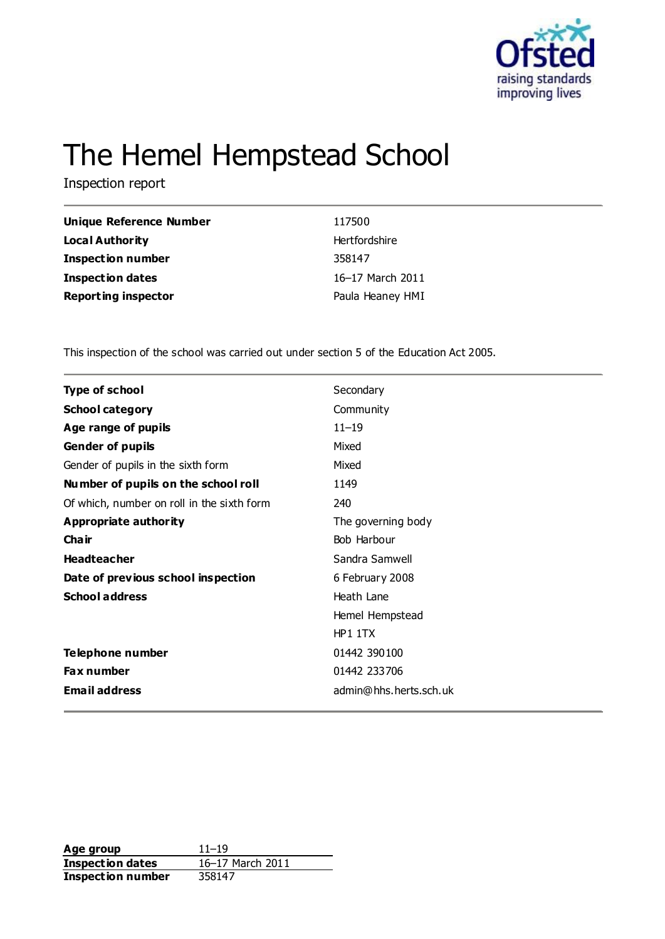

# The Hemel Hempstead School

Inspection report

| Unique Reference Number    | 117500           |
|----------------------------|------------------|
| <b>Local Authority</b>     | Hertfordshire    |
| <b>Inspection number</b>   | 358147           |
| <b>Inspection dates</b>    | 16–17 March 2011 |
| <b>Reporting inspector</b> | Paula Heaney HMI |

This inspection of the school was carried out under section 5 of the Education Act 2005.

| Type of school                             | Secondary              |
|--------------------------------------------|------------------------|
| <b>School category</b>                     | Community              |
| Age range of pupils                        | $11 - 19$              |
| <b>Gender of pupils</b>                    | Mixed                  |
| Gender of pupils in the sixth form         | Mixed                  |
| Number of pupils on the school roll        | 1149                   |
| Of which, number on roll in the sixth form | 240                    |
| Appropriate authority                      | The governing body     |
| Cha ir                                     | Bob Harbour            |
| <b>Headteacher</b>                         | Sandra Samwell         |
| Date of previous school inspection         | 6 February 2008        |
| <b>School address</b>                      | Heath Lane             |
|                                            | Hemel Hempstead        |
|                                            | HP1 1TX                |
| Telephone number                           | 01442 390100           |
| <b>Fax number</b>                          | 01442 233706           |
| <b>Email address</b>                       | admin@hhs.herts.sch.uk |

**Age group** 11–19<br> **Inspection dates** 16–17 March 2011 **Inspection dates Inspection number** 358147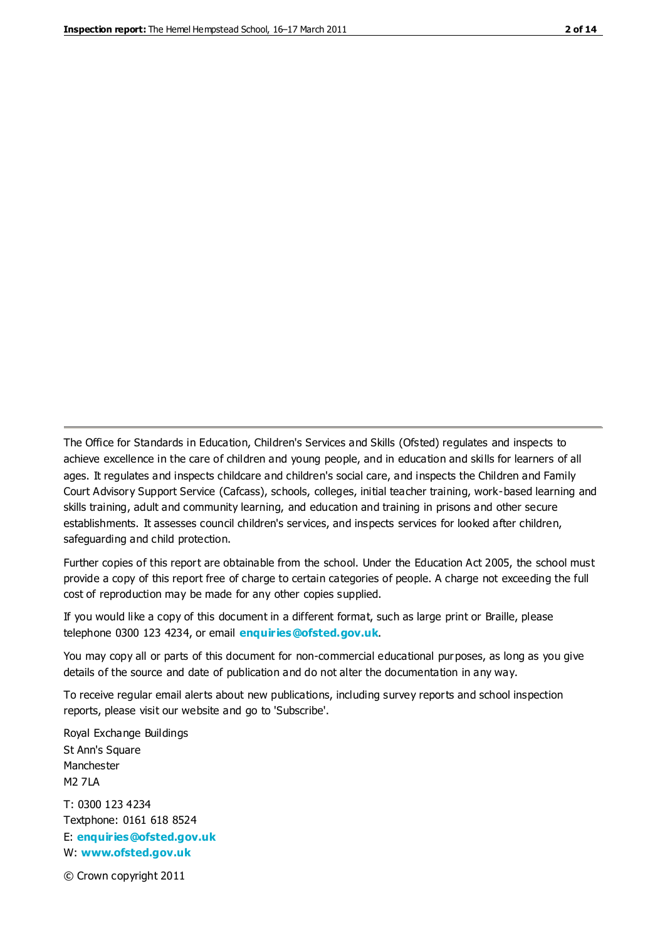The Office for Standards in Education, Children's Services and Skills (Ofsted) regulates and inspects to achieve excellence in the care of children and young people, and in education and skills for learners of all ages. It regulates and inspects childcare and children's social care, and inspects the Children and Family Court Advisory Support Service (Cafcass), schools, colleges, initial teacher training, work-based learning and skills training, adult and community learning, and education and training in prisons and other secure establishments. It assesses council children's services, and inspects services for looked after children, safeguarding and child protection.

Further copies of this report are obtainable from the school. Under the Education Act 2005, the school must provide a copy of this report free of charge to certain categories of people. A charge not exceeding the full cost of reproduction may be made for any other copies supplied.

If you would like a copy of this document in a different format, such as large print or Braille, please telephone 0300 123 4234, or email **[enquiries@ofsted.gov.uk](mailto:enquiries@ofsted.gov.uk)**.

You may copy all or parts of this document for non-commercial educational purposes, as long as you give details of the source and date of publication and do not alter the documentation in any way.

To receive regular email alerts about new publications, including survey reports and school inspection reports, please visit our website and go to 'Subscribe'.

Royal Exchange Buildings St Ann's Square Manchester M2 7LA T: 0300 123 4234 Textphone: 0161 618 8524 E: **[enquiries@ofsted.gov.uk](mailto:enquiries@ofsted.gov.uk)**

W: **[www.ofsted.gov.uk](http://www.ofsted.gov.uk/)**

© Crown copyright 2011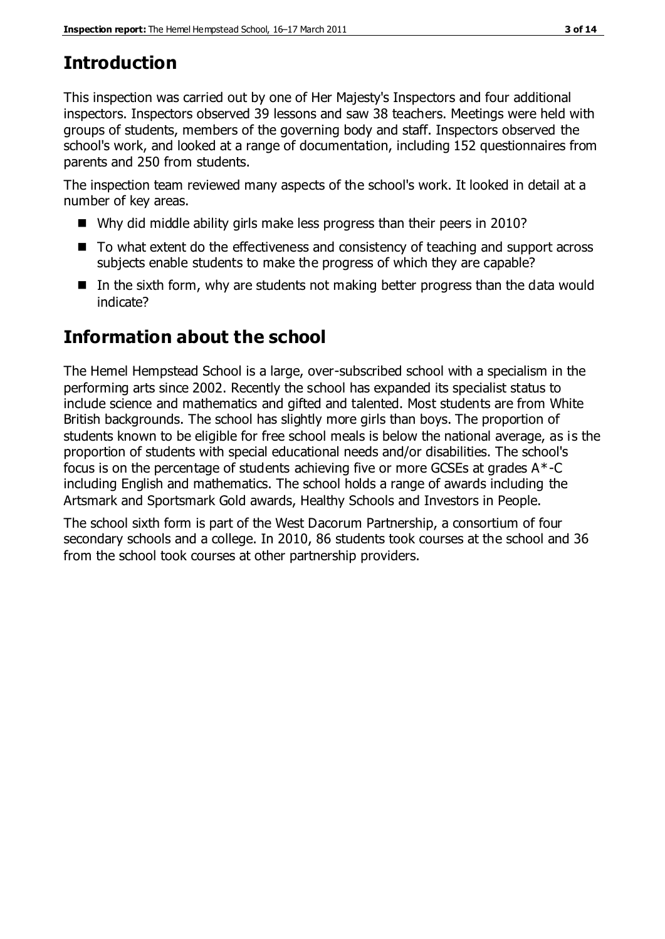# **Introduction**

This inspection was carried out by one of Her Majesty's Inspectors and four additional inspectors. Inspectors observed 39 lessons and saw 38 teachers. Meetings were held with groups of students, members of the governing body and staff. Inspectors observed the school's work, and looked at a range of documentation, including 152 questionnaires from parents and 250 from students.

The inspection team reviewed many aspects of the school's work. It looked in detail at a number of key areas.

- Why did middle ability girls make less progress than their peers in 2010?
- To what extent do the effectiveness and consistency of teaching and support across subjects enable students to make the progress of which they are capable?
- $\blacksquare$  In the sixth form, why are students not making better progress than the data would indicate?

# **Information about the school**

The Hemel Hempstead School is a large, over-subscribed school with a specialism in the performing arts since 2002. Recently the school has expanded its specialist status to include science and mathematics and gifted and talented. Most students are from White British backgrounds. The school has slightly more girls than boys. The proportion of students known to be eligible for free school meals is below the national average, as is the proportion of students with special educational needs and/or disabilities. The school's focus is on the percentage of students achieving five or more GCSEs at grades  $A^*$ -C including English and mathematics. The school holds a range of awards including the Artsmark and Sportsmark Gold awards, Healthy Schools and Investors in People.

The school sixth form is part of the West Dacorum Partnership, a consortium of four secondary schools and a college. In 2010, 86 students took courses at the school and 36 from the school took courses at other partnership providers.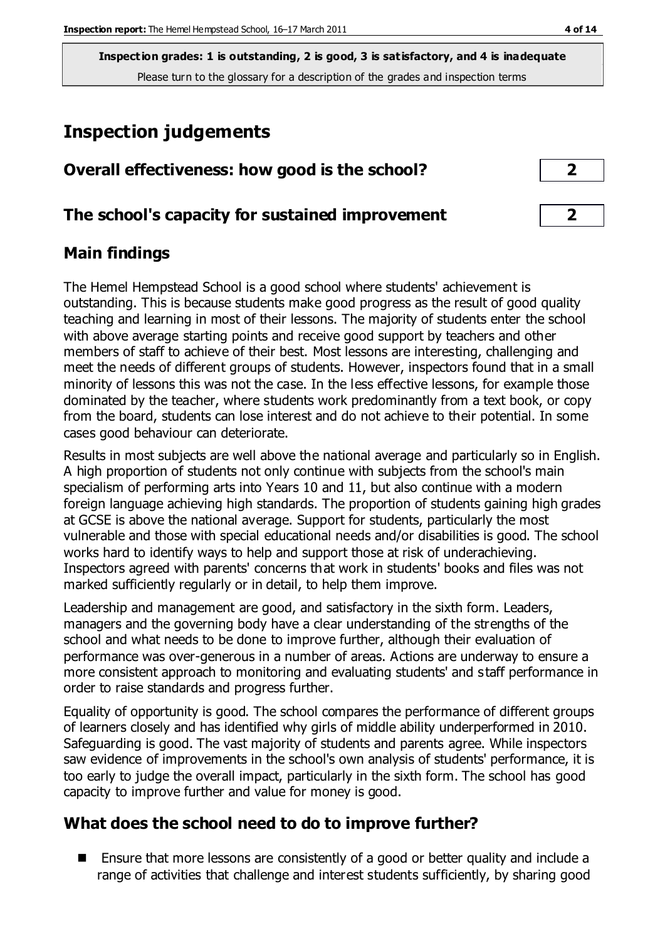# **Inspection judgements**

## **The school's capacity for sustained improvement 2**

# **Main findings**

The Hemel Hempstead School is a good school where students' achievement is outstanding. This is because students make good progress as the result of good quality teaching and learning in most of their lessons. The majority of students enter the school with above average starting points and receive good support by teachers and other members of staff to achieve of their best. Most lessons are interesting, challenging and meet the needs of different groups of students. However, inspectors found that in a small minority of lessons this was not the case. In the less effective lessons, for example those dominated by the teacher, where students work predominantly from a text book, or copy from the board, students can lose interest and do not achieve to their potential. In some cases good behaviour can deteriorate.

Results in most subjects are well above the national average and particularly so in English. A high proportion of students not only continue with subjects from the school's main specialism of performing arts into Years 10 and 11, but also continue with a modern foreign language achieving high standards. The proportion of students gaining high grades at GCSE is above the national average. Support for students, particularly the most vulnerable and those with special educational needs and/or disabilities is good. The school works hard to identify ways to help and support those at risk of underachieving. Inspectors agreed with parents' concerns that work in students' books and files was not marked sufficiently regularly or in detail, to help them improve.

Leadership and management are good, and satisfactory in the sixth form. Leaders, managers and the governing body have a clear understanding of the strengths of the school and what needs to be done to improve further, although their evaluation of performance was over-generous in a number of areas. Actions are underway to ensure a more consistent approach to monitoring and evaluating students' and s taff performance in order to raise standards and progress further.

Equality of opportunity is good. The school compares the performance of different groups of learners closely and has identified why girls of middle ability underperformed in 2010. Safeguarding is good. The vast majority of students and parents agree. While inspectors saw evidence of improvements in the school's own analysis of students' performance, it is too early to judge the overall impact, particularly in the sixth form. The school has good capacity to improve further and value for money is good.

### **What does the school need to do to improve further?**

■ Ensure that more lessons are consistently of a good or better quality and include a range of activities that challenge and interest students sufficiently, by sharing good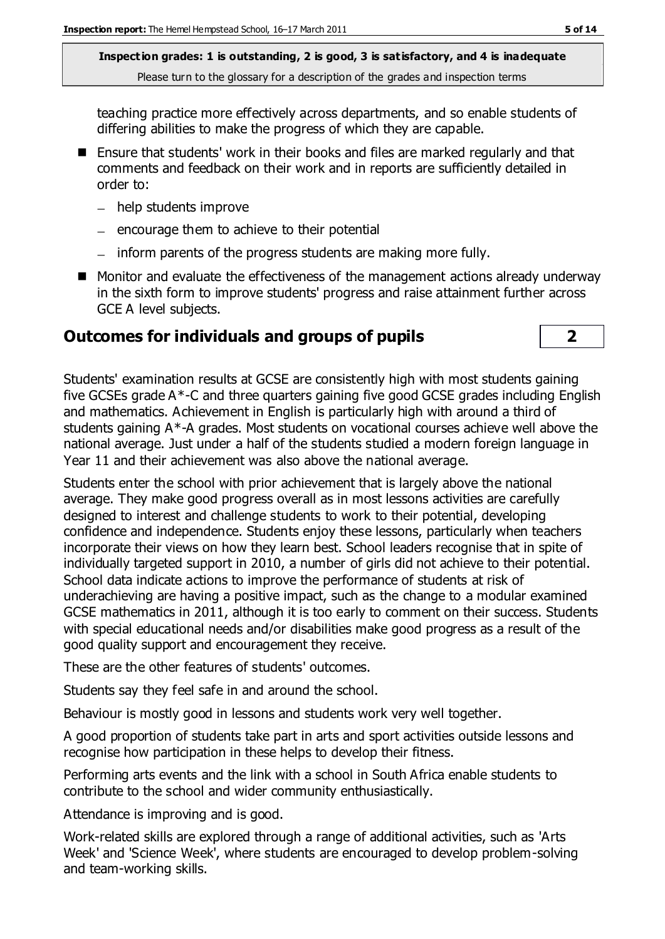teaching practice more effectively across departments, and so enable students of differing abilities to make the progress of which they are capable.

- Ensure that students' work in their books and files are marked regularly and that comments and feedback on their work and in reports are sufficiently detailed in order to:
	- help students improve
	- $=$  encourage them to achieve to their potential
	- inform parents of the progress students are making more fully.
- Monitor and evaluate the effectiveness of the management actions already underway in the sixth form to improve students' progress and raise attainment further across GCE A level subjects.

# **Outcomes for individuals and groups of pupils 2**



Students enter the school with prior achievement that is largely above the national average. They make good progress overall as in most lessons activities are carefully designed to interest and challenge students to work to their potential, developing confidence and independence. Students enjoy these lessons, particularly when teachers incorporate their views on how they learn best. School leaders recognise that in spite of individually targeted support in 2010, a number of girls did not achieve to their potential. School data indicate actions to improve the performance of students at risk of underachieving are having a positive impact, such as the change to a modular examined GCSE mathematics in 2011, although it is too early to comment on their success. Students with special educational needs and/or disabilities make good progress as a result of the good quality support and encouragement they receive.

These are the other features of students' outcomes.

Students say they feel safe in and around the school.

Behaviour is mostly good in lessons and students work very well together.

A good proportion of students take part in arts and sport activities outside lessons and recognise how participation in these helps to develop their fitness.

Performing arts events and the link with a school in South Africa enable students to contribute to the school and wider community enthusiastically.

Attendance is improving and is good.

Work-related skills are explored through a range of additional activities, such as 'Arts Week' and 'Science Week', where students are encouraged to develop problem-solving and team-working skills.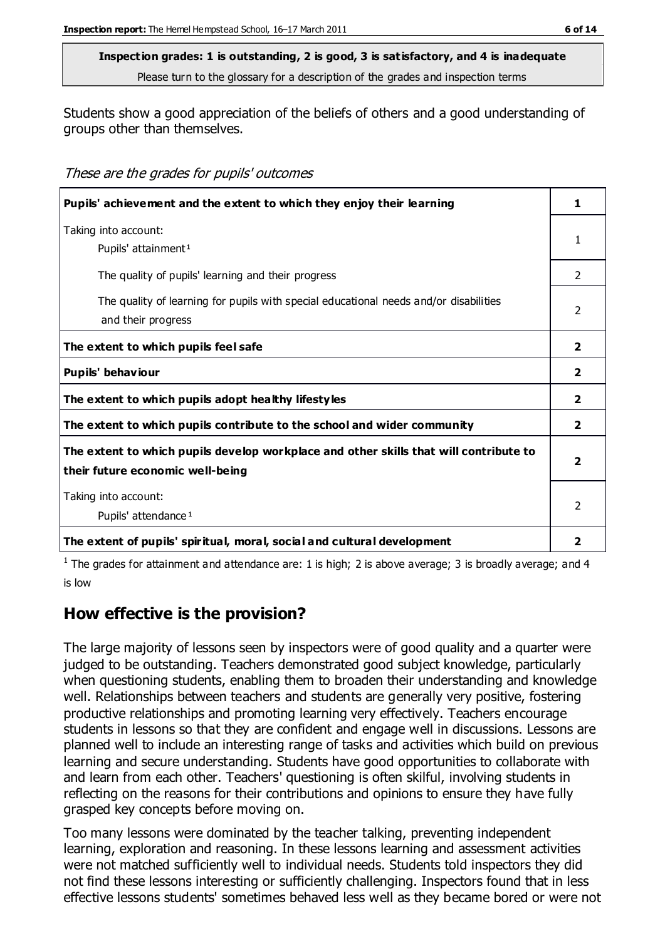Students show a good appreciation of the beliefs of others and a good understanding of groups other than themselves.

These are the grades for pupils' outcomes

| Pupils' achievement and the extent to which they enjoy their learning                                                     |                         |
|---------------------------------------------------------------------------------------------------------------------------|-------------------------|
| Taking into account:<br>Pupils' attainment <sup>1</sup>                                                                   | 1                       |
| The quality of pupils' learning and their progress                                                                        | $\mathcal{P}$           |
| The quality of learning for pupils with special educational needs and/or disabilities<br>and their progress               | $\mathcal{P}$           |
| The extent to which pupils feel safe                                                                                      | $\overline{2}$          |
| Pupils' behaviour                                                                                                         | $\mathbf{2}$            |
| The extent to which pupils adopt healthy lifestyles                                                                       | $\overline{2}$          |
| The extent to which pupils contribute to the school and wider community                                                   | $\overline{2}$          |
| The extent to which pupils develop workplace and other skills that will contribute to<br>their future economic well-being | $\overline{\mathbf{2}}$ |
| Taking into account:<br>Pupils' attendance <sup>1</sup>                                                                   |                         |
| The extent of pupils' spiritual, moral, social and cultural development                                                   | 2                       |

<sup>1</sup> The grades for attainment and attendance are: 1 is high; 2 is above average; 3 is broadly average; and 4 is low

# **How effective is the provision?**

The large majority of lessons seen by inspectors were of good quality and a quarter were judged to be outstanding. Teachers demonstrated good subject knowledge, particularly when questioning students, enabling them to broaden their understanding and knowledge well. Relationships between teachers and students are generally very positive, fostering productive relationships and promoting learning very effectively. Teachers encourage students in lessons so that they are confident and engage well in discussions. Lessons are planned well to include an interesting range of tasks and activities which build on previous learning and secure understanding. Students have good opportunities to collaborate with and learn from each other. Teachers' questioning is often skilful, involving students in reflecting on the reasons for their contributions and opinions to ensure they have fully grasped key concepts before moving on.

Too many lessons were dominated by the teacher talking, preventing independent learning, exploration and reasoning. In these lessons learning and assessment activities were not matched sufficiently well to individual needs. Students told inspectors they did not find these lessons interesting or sufficiently challenging. Inspectors found that in less effective lessons students' sometimes behaved less well as they became bored or were not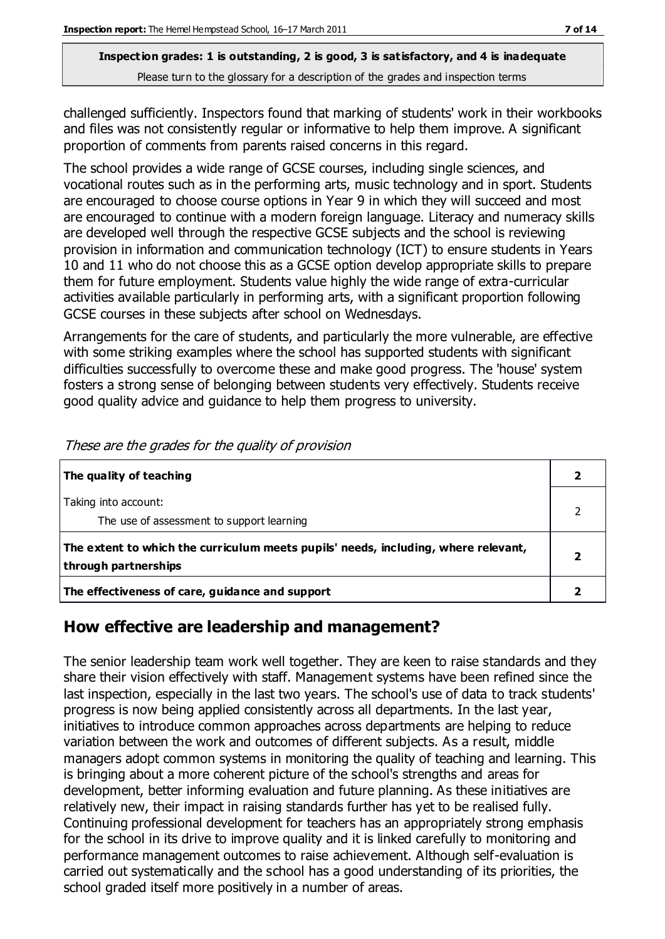challenged sufficiently. Inspectors found that marking of students' work in their workbooks and files was not consistently regular or informative to help them improve. A significant proportion of comments from parents raised concerns in this regard.

The school provides a wide range of GCSE courses, including single sciences, and vocational routes such as in the performing arts, music technology and in sport. Students are encouraged to choose course options in Year 9 in which they will succeed and most are encouraged to continue with a modern foreign language. Literacy and numeracy skills are developed well through the respective GCSE subjects and the school is reviewing provision in information and communication technology (ICT) to ensure students in Years 10 and 11 who do not choose this as a GCSE option develop appropriate skills to prepare them for future employment. Students value highly the wide range of extra-curricular activities available particularly in performing arts, with a significant proportion following GCSE courses in these subjects after school on Wednesdays.

Arrangements for the care of students, and particularly the more vulnerable, are effective with some striking examples where the school has supported students with significant difficulties successfully to overcome these and make good progress. The 'house' system fosters a strong sense of belonging between students very effectively. Students receive good quality advice and guidance to help them progress to university.

| The quality of teaching                                                                                    |  |
|------------------------------------------------------------------------------------------------------------|--|
| Taking into account:<br>The use of assessment to support learning                                          |  |
| The extent to which the curriculum meets pupils' needs, including, where relevant,<br>through partnerships |  |
| The effectiveness of care, guidance and support                                                            |  |

These are the grades for the quality of provision

# **How effective are leadership and management?**

The senior leadership team work well together. They are keen to raise standards and they share their vision effectively with staff. Management systems have been refined since the last inspection, especially in the last two years. The school's use of data to track students' progress is now being applied consistently across all departments. In the last year, initiatives to introduce common approaches across departments are helping to reduce variation between the work and outcomes of different subjects. As a result, middle managers adopt common systems in monitoring the quality of teaching and learning. This is bringing about a more coherent picture of the school's strengths and areas for development, better informing evaluation and future planning. As these initiatives are relatively new, their impact in raising standards further has yet to be realised fully. Continuing professional development for teachers has an appropriately strong emphasis for the school in its drive to improve quality and it is linked carefully to monitoring and performance management outcomes to raise achievement. Although self-evaluation is carried out systematically and the school has a good understanding of its priorities, the school graded itself more positively in a number of areas.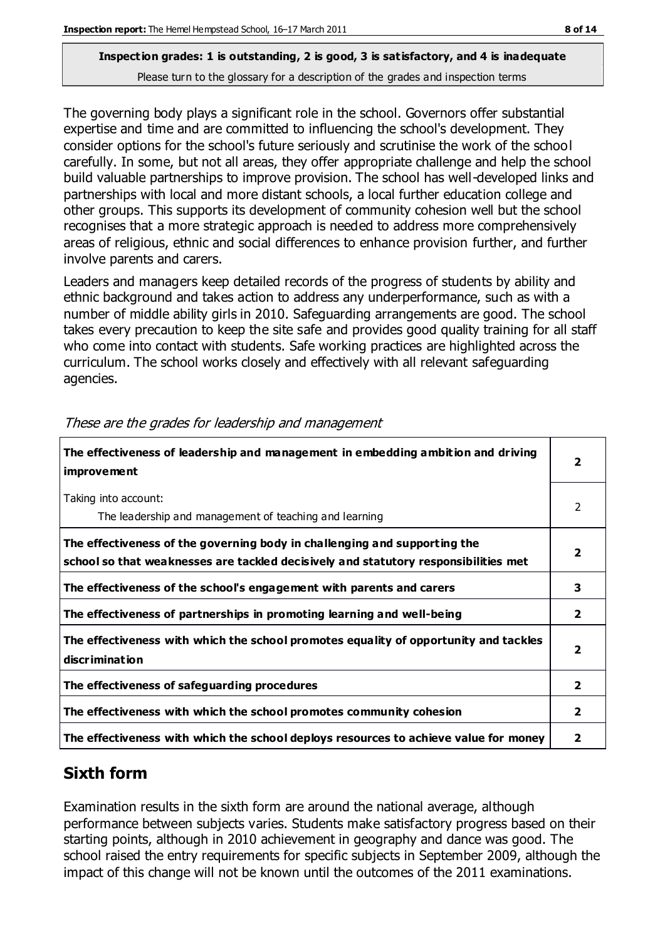The governing body plays a significant role in the school. Governors offer substantial expertise and time and are committed to influencing the school's development. They consider options for the school's future seriously and scrutinise the work of the school carefully. In some, but not all areas, they offer appropriate challenge and help the school build valuable partnerships to improve provision. The school has well-developed links and partnerships with local and more distant schools, a local further education college and other groups. This supports its development of community cohesion well but the school recognises that a more strategic approach is needed to address more comprehensively areas of religious, ethnic and social differences to enhance provision further, and further involve parents and carers.

Leaders and managers keep detailed records of the progress of students by ability and ethnic background and takes action to address any underperformance, such as with a number of middle ability girls in 2010. Safeguarding arrangements are good. The school takes every precaution to keep the site safe and provides good quality training for all staff who come into contact with students. Safe working practices are highlighted across the curriculum. The school works closely and effectively with all relevant safeguarding agencies.

| The effectiveness of leadership and management in embedding ambition and driving<br><b>improvement</b>                                                           |                         |
|------------------------------------------------------------------------------------------------------------------------------------------------------------------|-------------------------|
| Taking into account:<br>The leadership and management of teaching and learning                                                                                   | 2                       |
| The effectiveness of the governing body in challenging and supporting the<br>school so that weaknesses are tackled decisively and statutory responsibilities met | $\overline{\mathbf{2}}$ |
| The effectiveness of the school's engagement with parents and carers                                                                                             | 3                       |
| The effectiveness of partnerships in promoting learning and well-being                                                                                           | $\mathbf{2}$            |
| The effectiveness with which the school promotes equality of opportunity and tackles<br>discrimination                                                           | $\overline{2}$          |
| The effectiveness of safeguarding procedures                                                                                                                     | 2                       |
| The effectiveness with which the school promotes community cohesion                                                                                              |                         |
| The effectiveness with which the school deploys resources to achieve value for money                                                                             | $\mathbf{2}$            |

These are the grades for leadership and management

# **Sixth form**

Examination results in the sixth form are around the national average, although performance between subjects varies. Students make satisfactory progress based on their starting points, although in 2010 achievement in geography and dance was good. The school raised the entry requirements for specific subjects in September 2009, although the impact of this change will not be known until the outcomes of the 2011 examinations.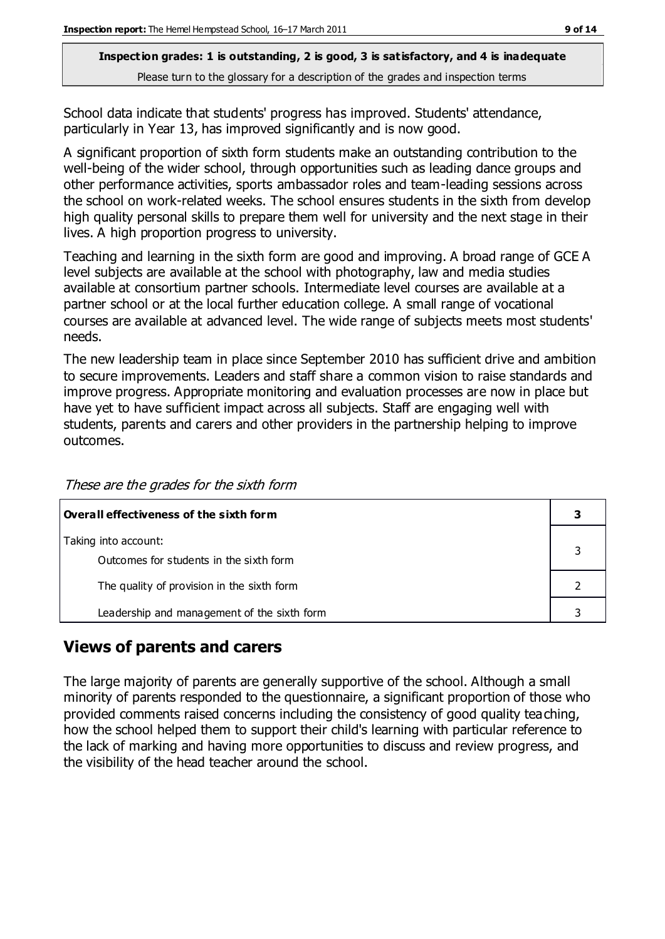School data indicate that students' progress has improved. Students' attendance, particularly in Year 13, has improved significantly and is now good.

A significant proportion of sixth form students make an outstanding contribution to the well-being of the wider school, through opportunities such as leading dance groups and other performance activities, sports ambassador roles and team-leading sessions across the school on work-related weeks. The school ensures students in the sixth from develop high quality personal skills to prepare them well for university and the next stage in their lives. A high proportion progress to university.

Teaching and learning in the sixth form are good and improving. A broad range of GCE A level subjects are available at the school with photography, law and media studies available at consortium partner schools. Intermediate level courses are available at a partner school or at the local further education college. A small range of vocational courses are available at advanced level. The wide range of subjects meets most students' needs.

The new leadership team in place since September 2010 has sufficient drive and ambition to secure improvements. Leaders and staff share a common vision to raise standards and improve progress. Appropriate monitoring and evaluation processes are now in place but have yet to have sufficient impact across all subjects. Staff are engaging well with students, parents and carers and other providers in the partnership helping to improve outcomes.

These are the grades for the sixth form

| Overall effectiveness of the sixth form     |  |  |
|---------------------------------------------|--|--|
| Taking into account:                        |  |  |
| Outcomes for students in the sixth form     |  |  |
| The quality of provision in the sixth form  |  |  |
| Leadership and management of the sixth form |  |  |

# **Views of parents and carers**

The large majority of parents are generally supportive of the school. Although a small minority of parents responded to the questionnaire, a significant proportion of those who provided comments raised concerns including the consistency of good quality teaching, how the school helped them to support their child's learning with particular reference to the lack of marking and having more opportunities to discuss and review progress, and the visibility of the head teacher around the school.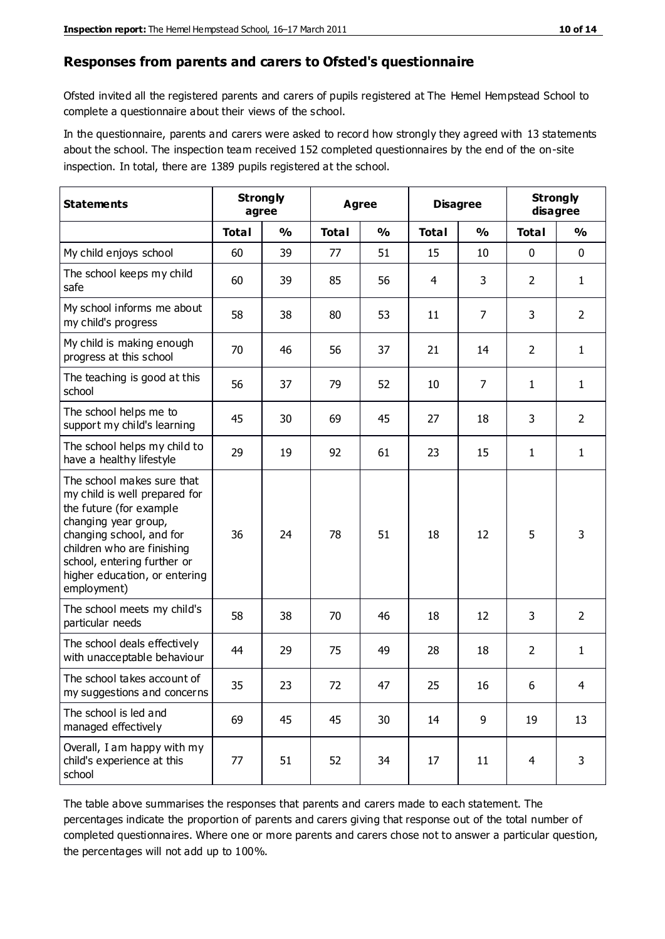#### **Responses from parents and carers to Ofsted's questionnaire**

Ofsted invited all the registered parents and carers of pupils registered at The Hemel Hempstead School to complete a questionnaire about their views of the school.

In the questionnaire, parents and carers were asked to record how strongly they agreed with 13 statements about the school. The inspection team received 152 completed questionnaires by the end of the on-site inspection. In total, there are 1389 pupils registered at the school.

| <b>Statements</b>                                                                                                                                                                                                                                       | <b>Strongly</b><br>agree |               | <b>Agree</b> |               | <b>Disagree</b> |                | <b>Strongly</b><br>disagree |                |
|---------------------------------------------------------------------------------------------------------------------------------------------------------------------------------------------------------------------------------------------------------|--------------------------|---------------|--------------|---------------|-----------------|----------------|-----------------------------|----------------|
|                                                                                                                                                                                                                                                         | <b>Total</b>             | $\frac{0}{0}$ | <b>Total</b> | $\frac{0}{0}$ | <b>Total</b>    | $\frac{0}{0}$  | <b>Total</b>                | $\frac{0}{0}$  |
| My child enjoys school                                                                                                                                                                                                                                  | 60                       | 39            | 77           | 51            | 15              | 10             | 0                           | $\mathbf 0$    |
| The school keeps my child<br>safe                                                                                                                                                                                                                       | 60                       | 39            | 85           | 56            | $\overline{4}$  | 3              | $\overline{2}$              | $\mathbf{1}$   |
| My school informs me about<br>my child's progress                                                                                                                                                                                                       | 58                       | 38            | 80           | 53            | 11              | 7              | 3                           | $\overline{2}$ |
| My child is making enough<br>progress at this school                                                                                                                                                                                                    | 70                       | 46            | 56           | 37            | 21              | 14             | $\overline{2}$              | $\mathbf{1}$   |
| The teaching is good at this<br>school                                                                                                                                                                                                                  | 56                       | 37            | 79           | 52            | 10              | $\overline{7}$ | $\mathbf{1}$                | $\mathbf{1}$   |
| The school helps me to<br>support my child's learning                                                                                                                                                                                                   | 45                       | 30            | 69           | 45            | 27              | 18             | 3                           | $\overline{2}$ |
| The school helps my child to<br>have a healthy lifestyle                                                                                                                                                                                                | 29                       | 19            | 92           | 61            | 23              | 15             | 1                           | $\mathbf{1}$   |
| The school makes sure that<br>my child is well prepared for<br>the future (for example<br>changing year group,<br>changing school, and for<br>children who are finishing<br>school, entering further or<br>higher education, or entering<br>employment) | 36                       | 24            | 78           | 51            | 18              | 12             | 5                           | 3              |
| The school meets my child's<br>particular needs                                                                                                                                                                                                         | 58                       | 38            | 70           | 46            | 18              | 12             | 3                           | $\overline{2}$ |
| The school deals effectively<br>with unacceptable behaviour                                                                                                                                                                                             | 44                       | 29            | 75           | 49            | 28              | 18             | $\overline{2}$              | $\mathbf{1}$   |
| The school takes account of<br>my suggestions and concerns                                                                                                                                                                                              | 35                       | 23            | 72           | 47            | 25              | 16             | 6                           |                |
| The school is led and<br>managed effectively                                                                                                                                                                                                            | 69                       | 45            | 45           | 30            | 14              | 9              | 19                          | 13             |
| Overall, I am happy with my<br>child's experience at this<br>school                                                                                                                                                                                     | 77                       | 51            | 52           | 34            | 17              | 11             | $\overline{4}$              | 3              |

The table above summarises the responses that parents and carers made to each statement. The percentages indicate the proportion of parents and carers giving that response out of the total number of completed questionnaires. Where one or more parents and carers chose not to answer a particular question, the percentages will not add up to 100%.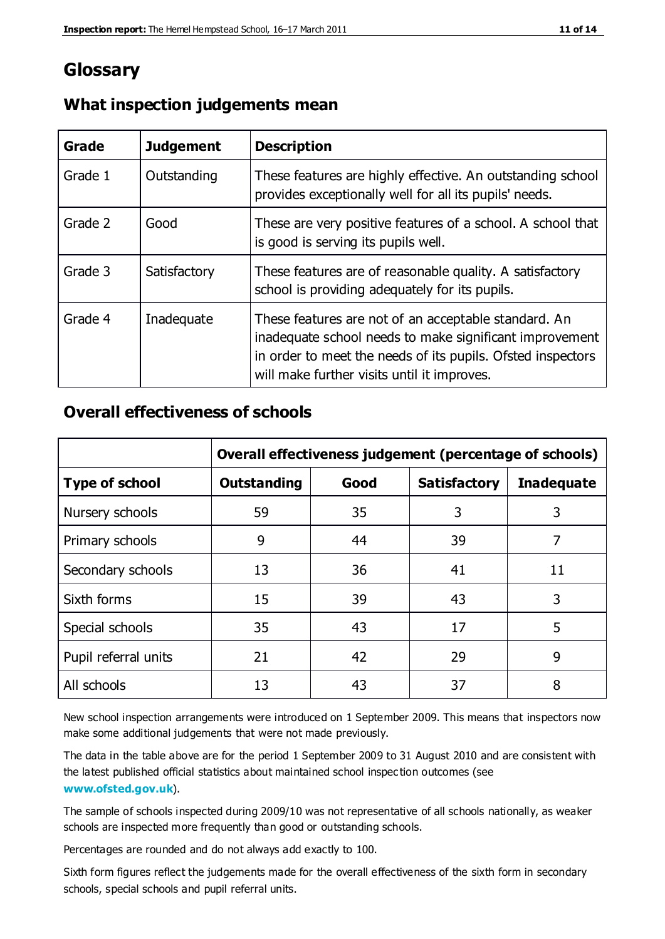# **Glossary**

| Grade   | <b>Judgement</b> | <b>Description</b>                                                                                                                                                                                                            |
|---------|------------------|-------------------------------------------------------------------------------------------------------------------------------------------------------------------------------------------------------------------------------|
| Grade 1 | Outstanding      | These features are highly effective. An outstanding school<br>provides exceptionally well for all its pupils' needs.                                                                                                          |
| Grade 2 | Good             | These are very positive features of a school. A school that<br>is good is serving its pupils well.                                                                                                                            |
| Grade 3 | Satisfactory     | These features are of reasonable quality. A satisfactory<br>school is providing adequately for its pupils.                                                                                                                    |
| Grade 4 | Inadequate       | These features are not of an acceptable standard. An<br>inadequate school needs to make significant improvement<br>in order to meet the needs of its pupils. Ofsted inspectors<br>will make further visits until it improves. |

## **What inspection judgements mean**

# **Overall effectiveness of schools**

|                       | Overall effectiveness judgement (percentage of schools) |      |                     |                   |
|-----------------------|---------------------------------------------------------|------|---------------------|-------------------|
| <b>Type of school</b> | <b>Outstanding</b>                                      | Good | <b>Satisfactory</b> | <b>Inadequate</b> |
| Nursery schools       | 59                                                      | 35   | 3                   | 3                 |
| Primary schools       | 9                                                       | 44   | 39                  | 7                 |
| Secondary schools     | 13                                                      | 36   | 41                  | 11                |
| Sixth forms           | 15                                                      | 39   | 43                  | 3                 |
| Special schools       | 35                                                      | 43   | 17                  | 5                 |
| Pupil referral units  | 21                                                      | 42   | 29                  | 9                 |
| All schools           | 13                                                      | 43   | 37                  | 8                 |

New school inspection arrangements were introduced on 1 September 2009. This means that inspectors now make some additional judgements that were not made previously.

The data in the table above are for the period 1 September 2009 to 31 August 2010 and are consistent with the latest published official statistics about maintained school inspec tion outcomes (see **[www.ofsted.gov.uk](http://www.ofsted.gov.uk/)**).

The sample of schools inspected during 2009/10 was not representative of all schools nationally, as weaker schools are inspected more frequently than good or outstanding schools.

Percentages are rounded and do not always add exactly to 100.

Sixth form figures reflect the judgements made for the overall effectiveness of the sixth form in secondary schools, special schools and pupil referral units.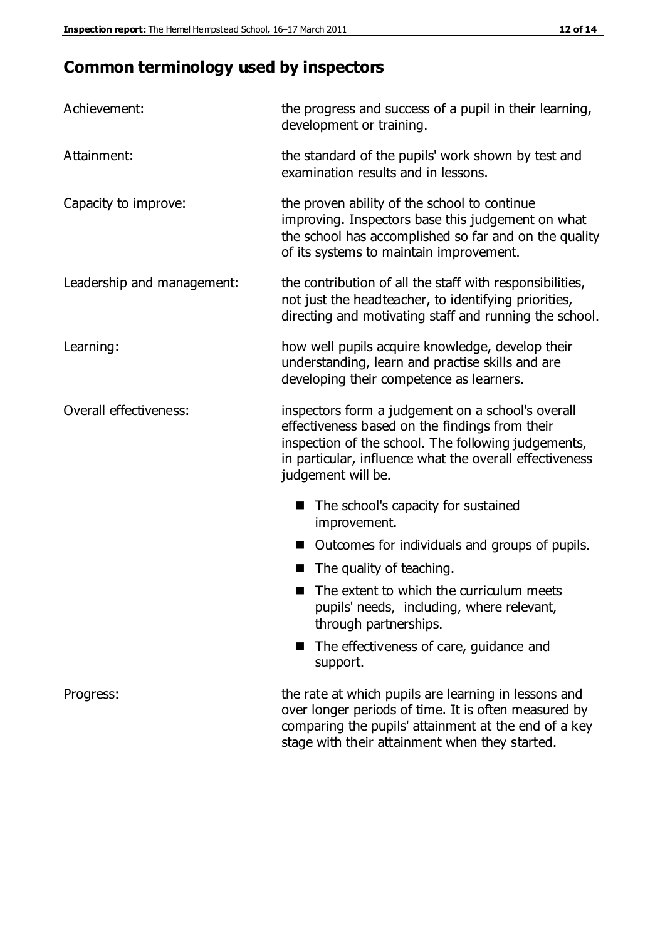# **Common terminology used by inspectors**

| Achievement:               | the progress and success of a pupil in their learning,<br>development or training.                                                                                                                                                          |  |  |
|----------------------------|---------------------------------------------------------------------------------------------------------------------------------------------------------------------------------------------------------------------------------------------|--|--|
| Attainment:                | the standard of the pupils' work shown by test and<br>examination results and in lessons.                                                                                                                                                   |  |  |
| Capacity to improve:       | the proven ability of the school to continue<br>improving. Inspectors base this judgement on what<br>the school has accomplished so far and on the quality<br>of its systems to maintain improvement.                                       |  |  |
| Leadership and management: | the contribution of all the staff with responsibilities,<br>not just the headteacher, to identifying priorities,<br>directing and motivating staff and running the school.                                                                  |  |  |
| Learning:                  | how well pupils acquire knowledge, develop their<br>understanding, learn and practise skills and are<br>developing their competence as learners.                                                                                            |  |  |
| Overall effectiveness:     | inspectors form a judgement on a school's overall<br>effectiveness based on the findings from their<br>inspection of the school. The following judgements,<br>in particular, influence what the overall effectiveness<br>judgement will be. |  |  |
|                            | The school's capacity for sustained<br>improvement.                                                                                                                                                                                         |  |  |
|                            | Outcomes for individuals and groups of pupils.                                                                                                                                                                                              |  |  |
|                            | The quality of teaching.                                                                                                                                                                                                                    |  |  |
|                            | The extent to which the curriculum meets<br>pupils' needs, including, where relevant,<br>through partnerships.                                                                                                                              |  |  |
|                            | The effectiveness of care, guidance and<br>support.                                                                                                                                                                                         |  |  |
| Progress:                  | the rate at which pupils are learning in lessons and<br>over longer periods of time. It is often measured by<br>comparing the pupils' attainment at the end of a key                                                                        |  |  |

stage with their attainment when they started.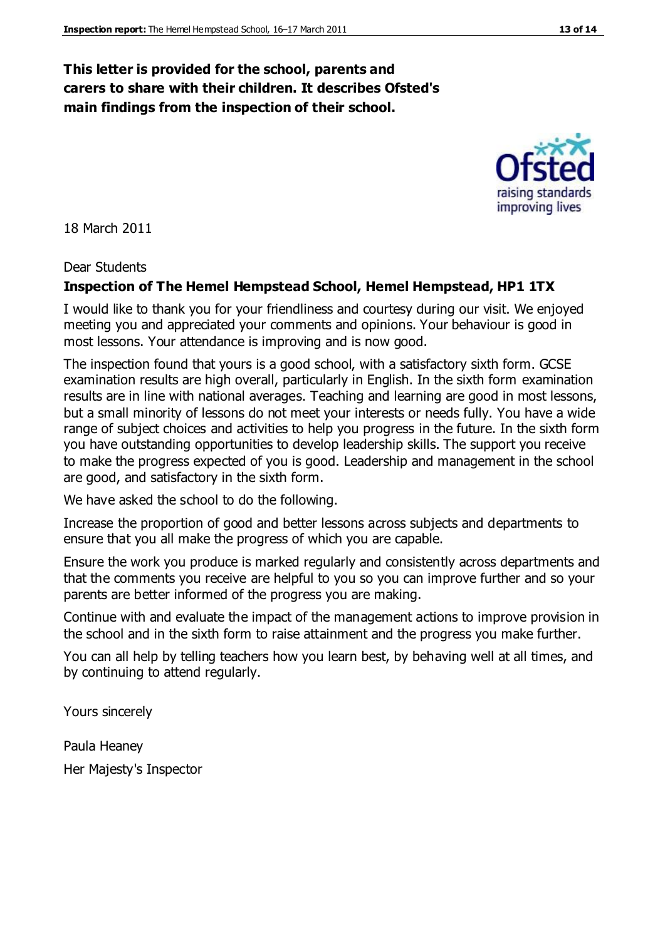### **This letter is provided for the school, parents and carers to share with their children. It describes Ofsted's main findings from the inspection of their school.**

18 March 2011

#### Dear Students

#### **Inspection of The Hemel Hempstead School, Hemel Hempstead, HP1 1TX**

I would like to thank you for your friendliness and courtesy during our visit. We enjoyed meeting you and appreciated your comments and opinions. Your behaviour is good in most lessons. Your attendance is improving and is now good.

The inspection found that yours is a good school, with a satisfactory sixth form. GCSE examination results are high overall, particularly in English. In the sixth form examination results are in line with national averages. Teaching and learning are good in most lessons, but a small minority of lessons do not meet your interests or needs fully. You have a wide range of subject choices and activities to help you progress in the future. In the sixth form you have outstanding opportunities to develop leadership skills. The support you receive to make the progress expected of you is good. Leadership and management in the school are good, and satisfactory in the sixth form.

We have asked the school to do the following.

Increase the proportion of good and better lessons across subjects and departments to ensure that you all make the progress of which you are capable.

Ensure the work you produce is marked regularly and consistently across departments and that the comments you receive are helpful to you so you can improve further and so your parents are better informed of the progress you are making.

Continue with and evaluate the impact of the management actions to improve provision in the school and in the sixth form to raise attainment and the progress you make further.

You can all help by telling teachers how you learn best, by behaving well at all times, and by continuing to attend regularly.

Yours sincerely

Paula Heaney Her Majesty's Inspector